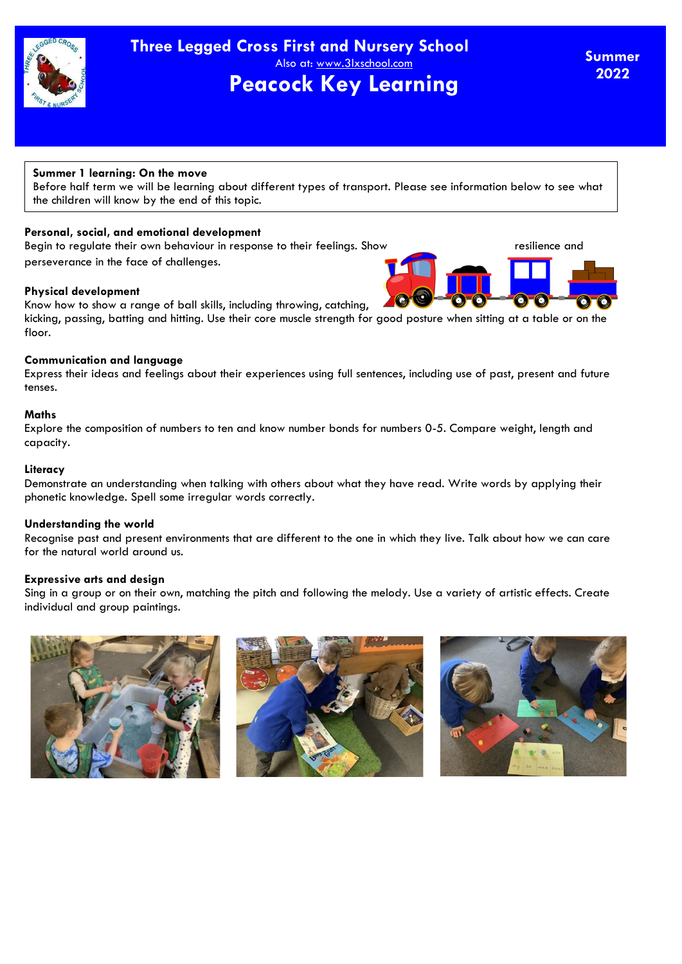

## **Summer 1 learning: On the move**

Before half term we will be learning about different types of transport. Please see information below to see what the children will know by the end of this topic.

## **Personal, social, and emotional development**

Begin to regulate their own behaviour in response to their feelings. Show resilience and perseverance in the face of challenges.

### **Physical development**

Know how to show a range of ball skills, including throwing, catching, kicking, passing, batting and hitting. Use their core muscle strength for good posture when sitting at a table or on the floor.

### **Communication and language**

Express their ideas and feelings about their experiences using full sentences, including use of past, present and future tenses.

#### **Maths**

Explore the composition of numbers to ten and know number bonds for numbers 0-5. Compare weight, length and capacity.

#### **Literacy**

Demonstrate an understanding when talking with others about what they have read. Write words by applying their phonetic knowledge. Spell some irregular words correctly.

### **Understanding the world**

Recognise past and present environments that are different to the one in which they live. Talk about how we can care for the natural world around us.

### **Expressive arts and design**

Sing in a group or on their own, matching the pitch and following the melody. Use a variety of artistic effects. Create individual and group paintings.